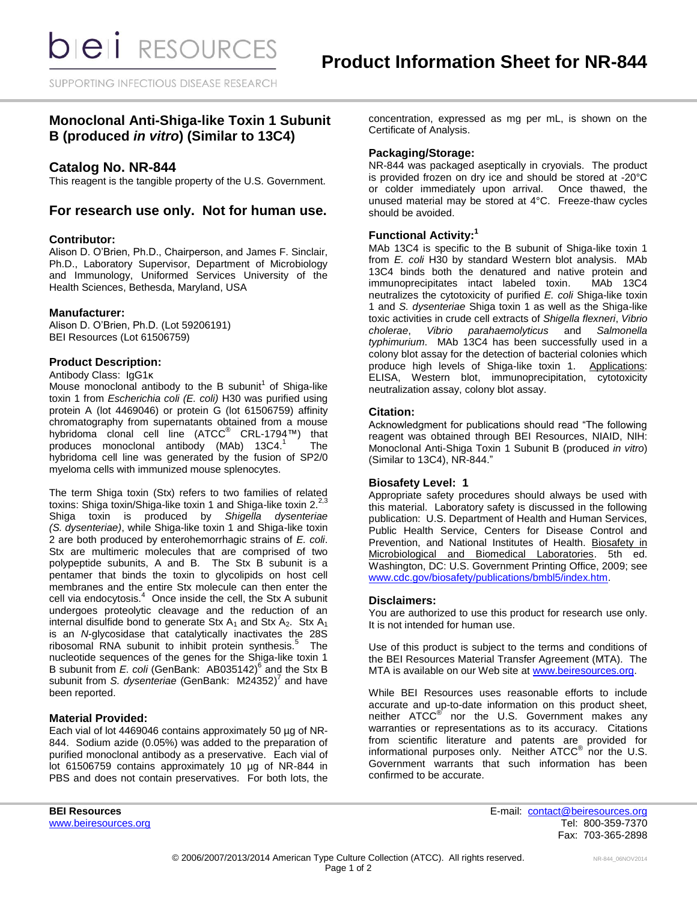SUPPORTING INFECTIOUS DISEASE RESEARCH

# **Monoclonal Anti-Shiga-like Toxin 1 Subunit B (produced** *in vitro***) (Similar to 13C4)**

## **Catalog No. NR-844**

This reagent is the tangible property of the U.S. Government.

# **For research use only. Not for human use.**

### **Contributor:**

Alison D. O'Brien, Ph.D., Chairperson, and James F. Sinclair, Ph.D., Laboratory Supervisor, Department of Microbiology and Immunology, Uniformed Services University of the Health Sciences, Bethesda, Maryland, USA

### **Manufacturer:**

Alison D. O'Brien, Ph.D. (Lot 59206191) BEI Resources (Lot 61506759)

## **Product Description:**

#### Antibody Class: IgG1κ

Mouse monoclonal antibody to the B subunit<sup>1</sup> of Shiga-like toxin 1 from *Escherichia coli (E. coli)* H30 was purified using protein A (lot 4469046) or protein G (lot 61506759) affinity chromatography from supernatants obtained from a mouse hybridoma clonal cell line (ATCC® CRL-1794™) that produces monoclonal antibody (MAb) 13C4. 1 The hybridoma cell line was generated by the fusion of SP2/0 myeloma cells with immunized mouse splenocytes.

The term Shiga toxin (Stx) refers to two families of related toxins: Shiga toxin/Shiga-like toxin 1 and Shiga-like toxin 2. $^{2,3}$ Shiga toxin is produced by *Shigella dysenteriae (S. dysenteriae)*, while Shiga-like toxin 1 and Shiga-like toxin 2 are both produced by enterohemorrhagic strains of *E. coli*. Stx are multimeric molecules that are comprised of two polypeptide subunits, A and B. The Stx B subunit is a pentamer that binds the toxin to glycolipids on host cell membranes and the entire Stx molecule can then enter the cell via endocytosis. $4$  Once inside the cell, the Stx A subunit undergoes proteolytic cleavage and the reduction of an internal disulfide bond to generate Stx  $A_1$  and Stx  $A_2$ . Stx  $A_1$ is an *N*-glycosidase that catalytically inactivates the 28S ribosomal RNA subunit to inhibit protein synthesis.<sup>5</sup> The nucleotide sequences of the genes for the Shiga-like toxin 1 B subunit from *E. coli* (GenBank: AB035142)<sup>6</sup> and the Stx B subunit from *S. dysenteriae* (GenBank: M24352) 7 and have been reported.

#### **Material Provided:**

Each vial of lot 4469046 contains approximately 50 µg of NR-844. Sodium azide (0.05%) was added to the preparation of purified monoclonal antibody as a preservative. Each vial of lot 61506759 contains approximately 10 µg of NR-844 in PBS and does not contain preservatives. For both lots, the concentration, expressed as mg per mL, is shown on the Certificate of Analysis.

### **Packaging/Storage:**

NR-844 was packaged aseptically in cryovials. The product is provided frozen on dry ice and should be stored at -20°C or colder immediately upon arrival. Once thawed, the unused material may be stored at 4°C. Freeze-thaw cycles should be avoided.

## **Functional Activity:<sup>1</sup>**

MAb 13C4 is specific to the B subunit of Shiga-like toxin 1 from *E. coli* H30 by standard Western blot analysis. MAb 13C4 binds both the denatured and native protein and immunoprecipitates intact labeled toxin. MAb 13C4 neutralizes the cytotoxicity of purified *E. coli* Shiga-like toxin 1 and *S. dysenteriae* Shiga toxin 1 as well as the Shiga-like toxic activities in crude cell extracts of *Shigella flexneri*, *Vibrio cholerae*, *Vibrio parahaemolyticus* and *Salmonella typhimurium*. MAb 13C4 has been successfully used in a colony blot assay for the detection of bacterial colonies which produce high levels of Shiga-like toxin 1. Applications: ELISA, Western blot, immunoprecipitation, cytotoxicity neutralization assay, colony blot assay.

### **Citation:**

Acknowledgment for publications should read "The following reagent was obtained through BEI Resources, NIAID, NIH: Monoclonal Anti-Shiga Toxin 1 Subunit B (produced *in vitro*) (Similar to 13C4), NR-844."

## **Biosafety Level: 1**

Appropriate safety procedures should always be used with this material. Laboratory safety is discussed in the following publication: U.S. Department of Health and Human Services, Public Health Service, Centers for Disease Control and Prevention, and National Institutes of Health. Biosafety in Microbiological and Biomedical Laboratories. 5th ed. Washington, DC: U.S. Government Printing Office, 2009; see [www.cdc.gov/biosafety/publications/bmbl5/index.htm.](http://www.cdc.gov/biosafety/publications/bmbl5/index.htm)

#### **Disclaimers:**

You are authorized to use this product for research use only. It is not intended for human use.

Use of this product is subject to the terms and conditions of the BEI Resources Material Transfer Agreement (MTA). The MTA is available on our Web site at [www.beiresources.org.](http://www.beiresources.org/)

While BEI Resources uses reasonable efforts to include accurate and up-to-date information on this product sheet, neither ATCC<sup>®</sup> nor the U.S. Government makes any warranties or representations as to its accuracy. Citations from scientific literature and patents are provided for informational purposes only. Neither  $ATCC^{\circledast}$  nor the U.S. Government warrants that such information has been confirmed to be accurate.

**BEI Resources** E-mail: [contact@beiresources.org](mailto:contact@beiresources.org) [www.beiresources.org](http://www.beiresources.org/) **Tel:** 800-359-7370 Fax: 703-365-2898